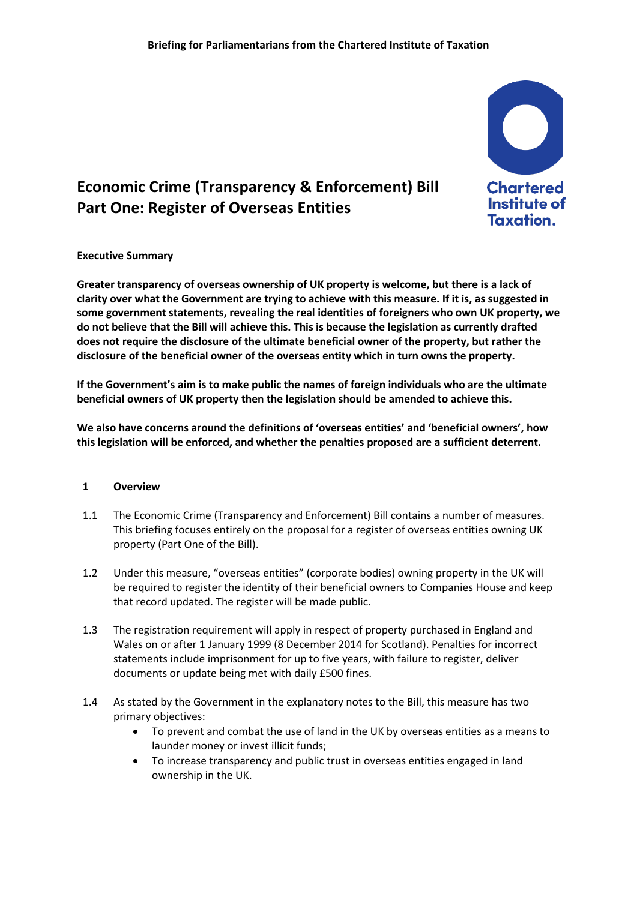

**Taxation.** 

# **Economic Crime (Transparency & Enforcement) Bill Part One: Register of Overseas Entities**

#### **Executive Summary**

**Greater transparency of overseas ownership of UK property is welcome, but there is a lack of clarity over what the Government are trying to achieve with this measure. If it is, as suggested in some government statements, revealing the real identities of foreigners who own UK property, we do not believe that the Bill will achieve this. This is because the legislation as currently drafted does not require the disclosure of the ultimate beneficial owner of the property, but rather the disclosure of the beneficial owner of the overseas entity which in turn owns the property.**

**If the Government's aim is to make public the names of foreign individuals who are the ultimate beneficial owners of UK property then the legislation should be amended to achieve this.**

**We also have concerns around the definitions of 'overseas entities' and 'beneficial owners', how this legislation will be enforced, and whether the penalties proposed are a sufficient deterrent.**

#### **1 Overview**

- 1.1 The Economic Crime (Transparency and Enforcement) Bill contains a number of measures. This briefing focuses entirely on the proposal for a register of overseas entities owning UK property (Part One of the Bill).
- 1.2 Under this measure, "overseas entities" (corporate bodies) owning property in the UK will be required to register the identity of their beneficial owners to Companies House and keep that record updated. The register will be made public.
- 1.3 The registration requirement will apply in respect of property purchased in England and Wales on or after 1 January 1999 (8 December 2014 for Scotland). Penalties for incorrect statements include imprisonment for up to five years, with failure to register, deliver documents or update being met with daily £500 fines.
- 1.4 As stated by the Government in the explanatory notes to the Bill, this measure has two primary objectives:
	- To prevent and combat the use of land in the UK by overseas entities as a means to launder money or invest illicit funds;
	- To increase transparency and public trust in overseas entities engaged in land ownership in the UK.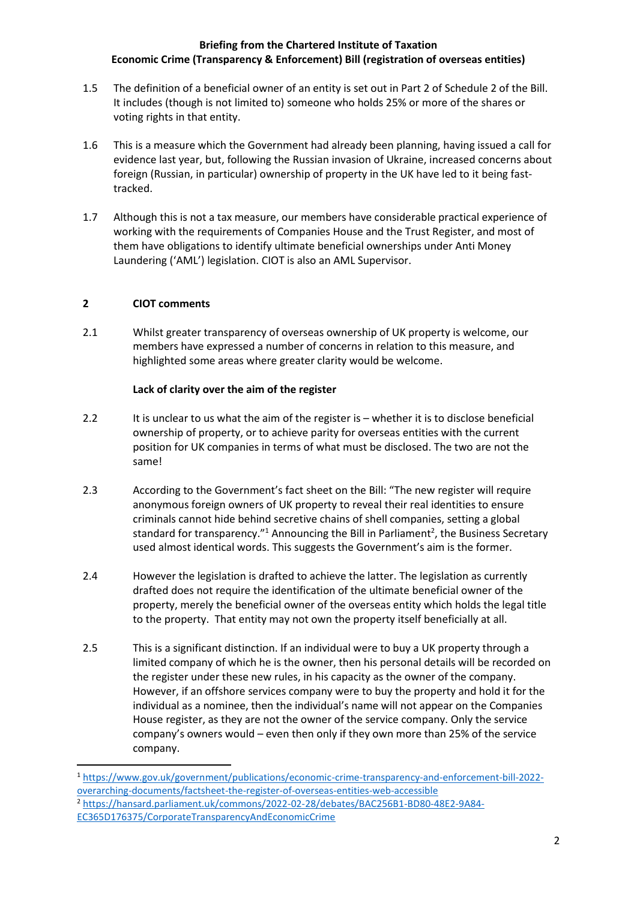- 1.5 The definition of a beneficial owner of an entity is set out in Part 2 of Schedule 2 of the Bill. It includes (though is not limited to) someone who holds 25% or more of the shares or voting rights in that entity.
- 1.6 This is a measure which the Government had already been planning, having issued a call for evidence last year, but, following the Russian invasion of Ukraine, increased concerns about foreign (Russian, in particular) ownership of property in the UK have led to it being fasttracked.
- 1.7 Although this is not a tax measure, our members have considerable practical experience of working with the requirements of Companies House and the Trust Register, and most of them have obligations to identify ultimate beneficial ownerships under Anti Money Laundering ('AML') legislation. CIOT is also an AML Supervisor.

# **2 CIOT comments**

**.** 

2.1 Whilst greater transparency of overseas ownership of UK property is welcome, our members have expressed a number of concerns in relation to this measure, and highlighted some areas where greater clarity would be welcome.

## **Lack of clarity over the aim of the register**

- 2.2 It is unclear to us what the aim of the register is whether it is to disclose beneficial ownership of property, or to achieve parity for overseas entities with the current position for UK companies in terms of what must be disclosed. The two are not the same!
- 2.3 According to the Government's fact sheet on the Bill: "The new register will require anonymous foreign owners of UK property to reveal their real identities to ensure criminals cannot hide behind secretive chains of shell companies, setting a global standard for transparency."<sup>1</sup> Announcing the Bill in Parliament<sup>2</sup>, the Business Secretary used almost identical words. This suggests the Government's aim is the former.
- 2.4 However the legislation is drafted to achieve the latter. The legislation as currently drafted does not require the identification of the ultimate beneficial owner of the property, merely the beneficial owner of the overseas entity which holds the legal title to the property. That entity may not own the property itself beneficially at all.
- 2.5 This is a significant distinction. If an individual were to buy a UK property through a limited company of which he is the owner, then his personal details will be recorded on the register under these new rules, in his capacity as the owner of the company. However, if an offshore services company were to buy the property and hold it for the individual as a nominee, then the individual's name will not appear on the Companies House register, as they are not the owner of the service company. Only the service company's owners would – even then only if they own more than 25% of the service company.

<sup>1</sup> [https://www.gov.uk/government/publications/economic-crime-transparency-and-enforcement-bill-2022](https://www.gov.uk/government/publications/economic-crime-transparency-and-enforcement-bill-2022-overarching-documents/factsheet-the-register-of-overseas-entities-web-accessible) [overarching-documents/factsheet-the-register-of-overseas-entities-web-accessible](https://www.gov.uk/government/publications/economic-crime-transparency-and-enforcement-bill-2022-overarching-documents/factsheet-the-register-of-overseas-entities-web-accessible) <sup>2</sup> [https://hansard.parliament.uk/commons/2022-02-28/debates/BAC256B1-BD80-48E2-9A84-](https://hansard.parliament.uk/commons/2022-02-28/debates/BAC256B1-BD80-48E2-9A84-EC365D176375/CorporateTransparencyAndEconomicCrime) [EC365D176375/CorporateTransparencyAndEconomicCrime](https://hansard.parliament.uk/commons/2022-02-28/debates/BAC256B1-BD80-48E2-9A84-EC365D176375/CorporateTransparencyAndEconomicCrime)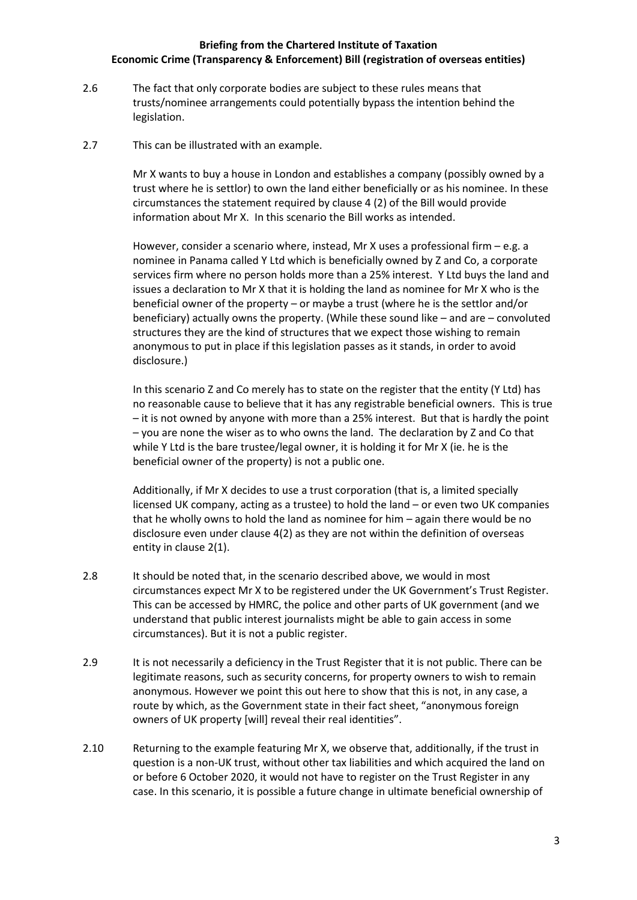- 2.6 The fact that only corporate bodies are subject to these rules means that trusts/nominee arrangements could potentially bypass the intention behind the legislation.
- 2.7 This can be illustrated with an example.

Mr X wants to buy a house in London and establishes a company (possibly owned by a trust where he is settlor) to own the land either beneficially or as his nominee. In these circumstances the statement required by clause 4 (2) of the Bill would provide information about Mr X. In this scenario the Bill works as intended.

However, consider a scenario where, instead, Mr X uses a professional firm – e.g. a nominee in Panama called Y Ltd which is beneficially owned by Z and Co, a corporate services firm where no person holds more than a 25% interest. Y Ltd buys the land and issues a declaration to Mr X that it is holding the land as nominee for Mr X who is the beneficial owner of the property – or maybe a trust (where he is the settlor and/or beneficiary) actually owns the property. (While these sound like – and are – convoluted structures they are the kind of structures that we expect those wishing to remain anonymous to put in place if this legislation passes as it stands, in order to avoid disclosure.)

In this scenario Z and Co merely has to state on the register that the entity (Y Ltd) has no reasonable cause to believe that it has any registrable beneficial owners. This is true – it is not owned by anyone with more than a 25% interest. But that is hardly the point – you are none the wiser as to who owns the land. The declaration by Z and Co that while Y Ltd is the bare trustee/legal owner, it is holding it for Mr X (ie. he is the beneficial owner of the property) is not a public one.

Additionally, if Mr X decides to use a trust corporation (that is, a limited specially licensed UK company, acting as a trustee) to hold the land – or even two UK companies that he wholly owns to hold the land as nominee for him – again there would be no disclosure even under clause 4(2) as they are not within the definition of overseas entity in clause 2(1).

- 2.8 It should be noted that, in the scenario described above, we would in most circumstances expect Mr X to be registered under the UK Government's Trust Register. This can be accessed by HMRC, the police and other parts of UK government (and we understand that public interest journalists might be able to gain access in some circumstances). But it is not a public register.
- 2.9 It is not necessarily a deficiency in the Trust Register that it is not public. There can be legitimate reasons, such as security concerns, for property owners to wish to remain anonymous. However we point this out here to show that this is not, in any case, a route by which, as the Government state in their fact sheet, "anonymous foreign owners of UK property [will] reveal their real identities".
- 2.10 Returning to the example featuring Mr X, we observe that, additionally, if the trust in question is a non-UK trust, without other tax liabilities and which acquired the land on or before 6 October 2020, it would not have to register on the Trust Register in any case. In this scenario, it is possible a future change in ultimate beneficial ownership of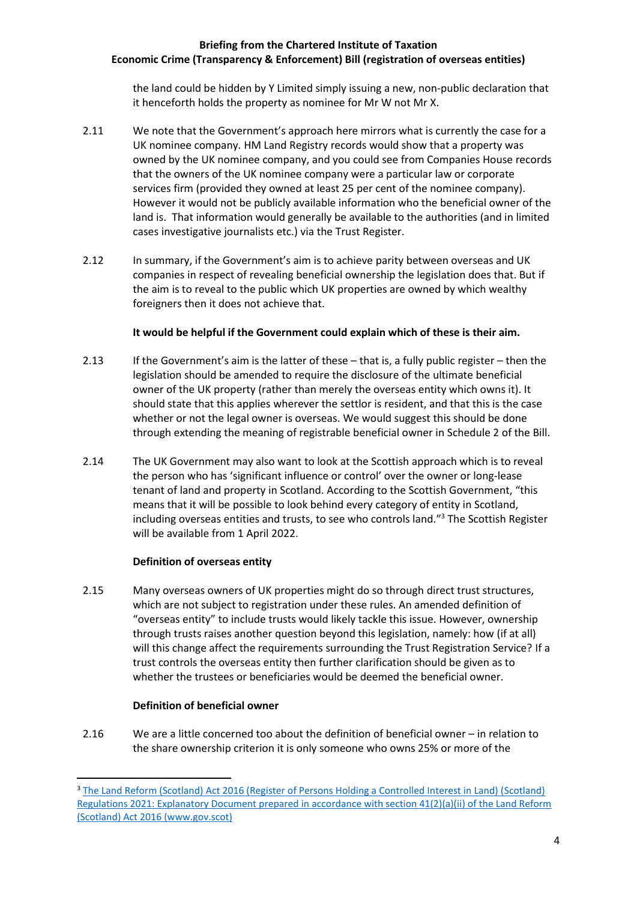the land could be hidden by Y Limited simply issuing a new, non-public declaration that it henceforth holds the property as nominee for Mr W not Mr X.

- 2.11 We note that the Government's approach here mirrors what is currently the case for a UK nominee company. HM Land Registry records would show that a property was owned by the UK nominee company, and you could see from Companies House records that the owners of the UK nominee company were a particular law or corporate services firm (provided they owned at least 25 per cent of the nominee company). However it would not be publicly available information who the beneficial owner of the land is. That information would generally be available to the authorities (and in limited cases investigative journalists etc.) via the Trust Register.
- 2.12 In summary, if the Government's aim is to achieve parity between overseas and UK companies in respect of revealing beneficial ownership the legislation does that. But if the aim is to reveal to the public which UK properties are owned by which wealthy foreigners then it does not achieve that.

## **It would be helpful if the Government could explain which of these is their aim.**

- 2.13 If the Government's aim is the latter of these that is, a fully public register then the legislation should be amended to require the disclosure of the ultimate beneficial owner of the UK property (rather than merely the overseas entity which owns it). It should state that this applies wherever the settlor is resident, and that this is the case whether or not the legal owner is overseas. We would suggest this should be done through extending the meaning of registrable beneficial owner in Schedule 2 of the Bill.
- 2.14 The UK Government may also want to look at the Scottish approach which is to reveal the person who has 'significant influence or control' over the owner or long-lease tenant of land and property in Scotland. According to the Scottish Government, "this means that it will be possible to look behind every category of entity in Scotland, including overseas entities and trusts, to see who controls land." <sup>3</sup> The Scottish Register will be available from 1 April 2022.

#### **Definition of overseas entity**

2.15 Many overseas owners of UK properties might do so through direct trust structures, which are not subject to registration under these rules. An amended definition of "overseas entity" to include trusts would likely tackle this issue. However, ownership through trusts raises another question beyond this legislation, namely: how (if at all) will this change affect the requirements surrounding the Trust Registration Service? If a trust controls the overseas entity then further clarification should be given as to whether the trustees or beneficiaries would be deemed the beneficial owner.

#### **Definition of beneficial owner**

**.** 

2.16 We are a little concerned too about the definition of beneficial owner – in relation to the share ownership criterion it is only someone who owns 25% or more of the

<sup>3</sup> [The Land Reform \(Scotland\) Act 2016 \(Register of Persons Holding a Controlled Interest in Land\) \(Scotland\)](https://www.gov.scot/binaries/content/documents/govscot/publications/advice-and-guidance/2020/12/register-persons-holding-controlled-interest-land-explanatory-document/documents/land-reform-scotland-act-2016-register-persons-holding-controlled-interest-land-scotland-regulations-2021-explanatory-document-prepared-accordance-section-41-2-ii-land-reform-scotland-act-2016/land-reform-scotland-act-2016-register-persons-holding-controlled-interest-land-scotland-regulations-2021-explanatory-document-prepared-accordance-section-41-2-ii-land-reform-scotland-act-2016/govscot%3Adocument/land-reform-scotland-act-2016-register-persons-holding-controlled-interest-land-scotland-regulations-2021-explanatory-document-prepared-accordance-section-41-2-ii-land-reform-scotland-act-2016.pdf)  [Regulations 2021: Explanatory Document prepared in accordance with section 41\(2\)\(a\)\(ii\) of the Land Reform](https://www.gov.scot/binaries/content/documents/govscot/publications/advice-and-guidance/2020/12/register-persons-holding-controlled-interest-land-explanatory-document/documents/land-reform-scotland-act-2016-register-persons-holding-controlled-interest-land-scotland-regulations-2021-explanatory-document-prepared-accordance-section-41-2-ii-land-reform-scotland-act-2016/land-reform-scotland-act-2016-register-persons-holding-controlled-interest-land-scotland-regulations-2021-explanatory-document-prepared-accordance-section-41-2-ii-land-reform-scotland-act-2016/govscot%3Adocument/land-reform-scotland-act-2016-register-persons-holding-controlled-interest-land-scotland-regulations-2021-explanatory-document-prepared-accordance-section-41-2-ii-land-reform-scotland-act-2016.pdf)  [\(Scotland\) Act 2016 \(www.gov.scot\)](https://www.gov.scot/binaries/content/documents/govscot/publications/advice-and-guidance/2020/12/register-persons-holding-controlled-interest-land-explanatory-document/documents/land-reform-scotland-act-2016-register-persons-holding-controlled-interest-land-scotland-regulations-2021-explanatory-document-prepared-accordance-section-41-2-ii-land-reform-scotland-act-2016/land-reform-scotland-act-2016-register-persons-holding-controlled-interest-land-scotland-regulations-2021-explanatory-document-prepared-accordance-section-41-2-ii-land-reform-scotland-act-2016/govscot%3Adocument/land-reform-scotland-act-2016-register-persons-holding-controlled-interest-land-scotland-regulations-2021-explanatory-document-prepared-accordance-section-41-2-ii-land-reform-scotland-act-2016.pdf)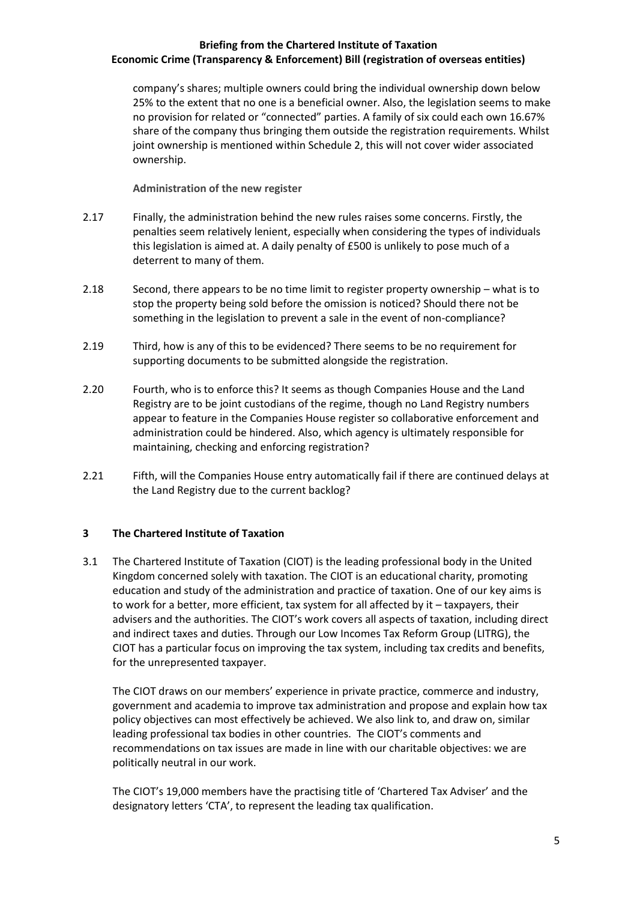company's shares; multiple owners could bring the individual ownership down below 25% to the extent that no one is a beneficial owner. Also, the legislation seems to make no provision for related or "connected" parties. A family of six could each own 16.67% share of the company thus bringing them outside the registration requirements. Whilst joint ownership is mentioned within Schedule 2, this will not cover wider associated ownership.

**Administration of the new register**

- 2.17 Finally, the administration behind the new rules raises some concerns. Firstly, the penalties seem relatively lenient, especially when considering the types of individuals this legislation is aimed at. A daily penalty of £500 is unlikely to pose much of a deterrent to many of them.
- 2.18 Second, there appears to be no time limit to register property ownership what is to stop the property being sold before the omission is noticed? Should there not be something in the legislation to prevent a sale in the event of non-compliance?
- 2.19 Third, how is any of this to be evidenced? There seems to be no requirement for supporting documents to be submitted alongside the registration.
- 2.20 Fourth, who is to enforce this? It seems as though Companies House and the Land Registry are to be joint custodians of the regime, though no Land Registry numbers appear to feature in the Companies House register so collaborative enforcement and administration could be hindered. Also, which agency is ultimately responsible for maintaining, checking and enforcing registration?
- 2.21 Fifth, will the Companies House entry automatically fail if there are continued delays at the Land Registry due to the current backlog?

# **3 The Chartered Institute of Taxation**

3.1 The Chartered Institute of Taxation (CIOT) is the leading professional body in the United Kingdom concerned solely with taxation. The CIOT is an educational charity, promoting education and study of the administration and practice of taxation. One of our key aims is to work for a better, more efficient, tax system for all affected by it – taxpayers, their advisers and the authorities. The CIOT's work covers all aspects of taxation, including direct and indirect taxes and duties. Through our Low Incomes Tax Reform Group (LITRG), the CIOT has a particular focus on improving the tax system, including tax credits and benefits, for the unrepresented taxpayer.

The CIOT draws on our members' experience in private practice, commerce and industry, government and academia to improve tax administration and propose and explain how tax policy objectives can most effectively be achieved. We also link to, and draw on, similar leading professional tax bodies in other countries. The CIOT's comments and recommendations on tax issues are made in line with our charitable objectives: we are politically neutral in our work.

The CIOT's 19,000 members have the practising title of 'Chartered Tax Adviser' and the designatory letters 'CTA', to represent the leading tax qualification.